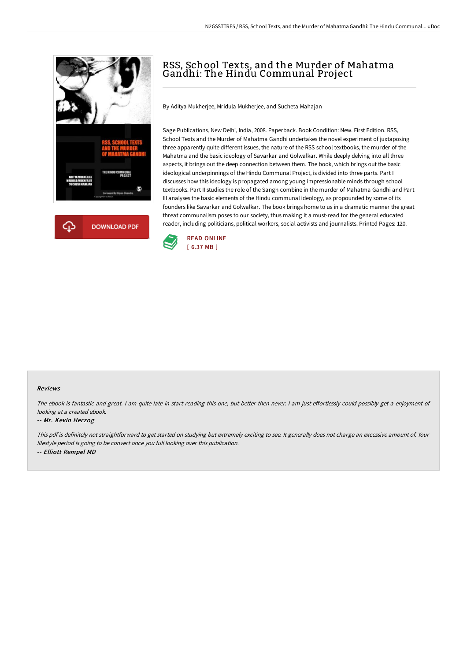



# RSS, School Texts, and the Murder of Mahatma Gandhi: The Hindu Communal Project

By Aditya Mukherjee, Mridula Mukherjee, and Sucheta Mahajan

Sage Publications, New Delhi, India, 2008. Paperback. Book Condition: New. First Edition. RSS, School Texts and the Murder of Mahatma Gandhi undertakes the novel experiment of juxtaposing three apparently quite different issues, the nature of the RSS school textbooks, the murder of the Mahatma and the basic ideology of Savarkar and Golwalkar. While deeply delving into all three aspects, it brings out the deep connection between them. The book, which brings out the basic ideological underpinnings of the Hindu Communal Project, is divided into three parts. Part I discusses how this ideology is propagated among young impressionable minds through school textbooks. Part II studies the role of the Sangh combine in the murder of Mahatma Gandhi and Part III analyses the basic elements of the Hindu communal ideology, as propounded by some of its founders like Savarkar and Golwalkar. The book brings home to us in a dramatic manner the great threat communalism poses to our society, thus making it a must-read for the general educated reader, including politicians, political workers, social activists and journalists. Printed Pages: 120.



#### Reviews

The ebook is fantastic and great. I am quite late in start reading this one, but better then never. I am just effortlessly could possibly get a enjoyment of looking at <sup>a</sup> created ebook.

#### -- Mr. Kevin Herzog

This pdf is definitely not straightforward to get started on studying but extremely exciting to see. It generally does not charge an excessive amount of. Your lifestyle period is going to be convert once you full looking over this publication. -- Elliott Rempel MD